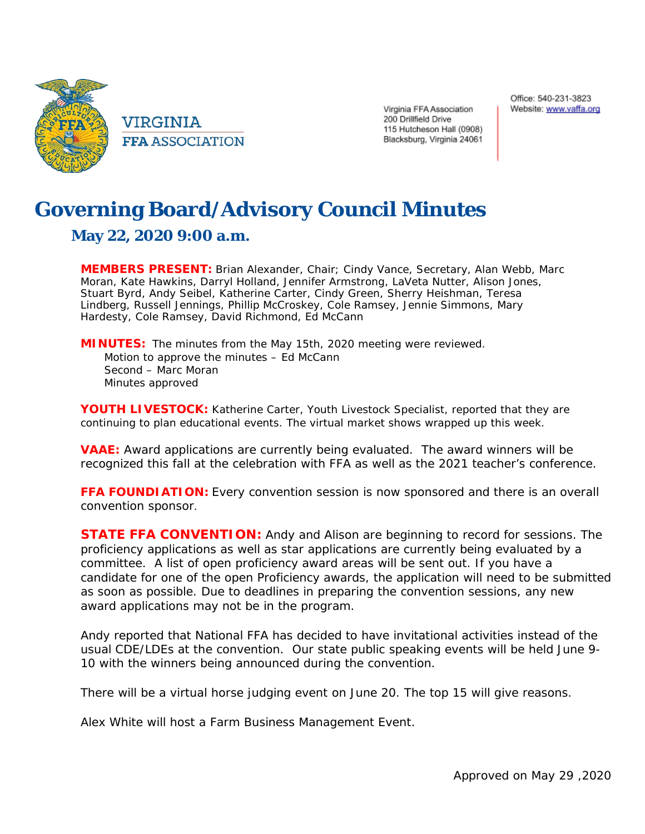

VIRGINIA **FFA ASSOCIATION**  Virginia FFA Association 200 Drillfield Drive 115 Hutcheson Hall (0908) Blacksburg, Virginia 24061

## **Governing Board/Advisory Council Minutes**

## **May 22, 2020 9:00 a.m.**

**MEMBERS PRESENT:** Brian Alexander, Chair; Cindy Vance, Secretary, Alan Webb, Marc Moran, Kate Hawkins, Darryl Holland, Jennifer Armstrong, LaVeta Nutter, Alison Jones, Stuart Byrd, Andy Seibel, Katherine Carter, Cindy Green, Sherry Heishman, Teresa Lindberg, Russell Jennings, Phillip McCroskey, Cole Ramsey, Jennie Simmons, Mary Hardesty, Cole Ramsey, David Richmond, Ed McCann

**MINUTES:** The minutes from the May 15th, 2020 meeting were reviewed. Motion to approve the minutes – Ed McCann Second – Marc Moran Minutes approved

**YOUTH LIVESTOCK:** Katherine Carter, Youth Livestock Specialist, reported that they are continuing to plan educational events. The virtual market shows wrapped up this week.

**VAAE:** Award applications are currently being evaluated. The award winners will be recognized this fall at the celebration with FFA as well as the 2021 teacher's conference.

**FFA FOUNDIATION:** Every convention session is now sponsored and there is an overall convention sponsor.

**STATE FFA CONVENTION:** Andy and Alison are beginning to record for sessions. The proficiency applications as well as star applications are currently being evaluated by a committee. A list of open proficiency award areas will be sent out. If you have a candidate for one of the open Proficiency awards, the application will need to be submitted as soon as possible. Due to deadlines in preparing the convention sessions, any new award applications may not be in the program.

Andy reported that National FFA has decided to have invitational activities instead of the usual CDE/LDEs at the convention. Our state public speaking events will be held June 9- 10 with the winners being announced during the convention.

There will be a virtual horse judging event on June 20. The top 15 will give reasons.

Alex White will host a Farm Business Management Event.